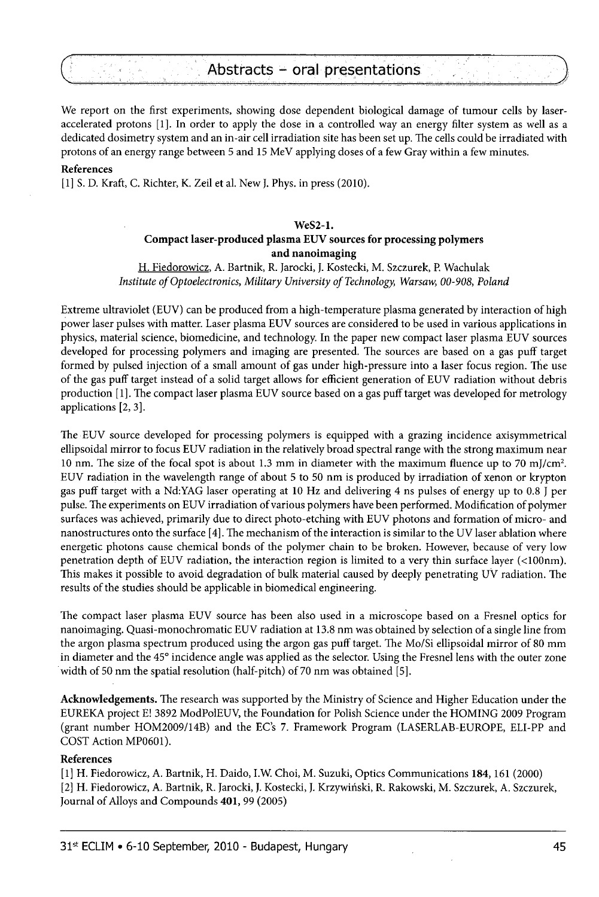# Abstracts - oral presentations

We report on the first experiments, showing dose dependent biological damage of tumour cells by laseraccelerated protons [1], In order to apply the dose in a controlled way an energy filter system as well as a dedicated dosimetry system and an in-air cell irradiation site has been set up. The cells could be irradiated with protons of an energy range between 5 and 15 MeV applying doses of a few Gray within a few minutes.

# **References**

[1] S. D. Kraft, C. Richter, K. Zeil et al. New J. Phys. in press (2010).

# **WeS2-l.**

# **Compact laser-produced plasma EUV sources for processing polymers and nanoimaging**

H. Fiedorowicz. A. Bartnik, R. Jarocki, J. Kostecki, M. Szczurek, P. Wachulak *Institute of Optoelectronics, Military University of Technology, Warsaw, 00-908, Poland* 

Extreme ultraviolet (EUV) can be produced from a high-temperature plasma generated by interaction of high power laser pulses with matter. Laser plasma EUV sources are considered to be used in various applications in physics, material science, biomedicine, and technology. In the paper new compact laser plasma EUV sources developed for processing polymers and imaging are presented. The sources are based on a gas puff target formed by pulsed injection of a small amount of gas under high-pressure into a laser focus region. The use of the gas puff target instead of a solid target allows for efficient generation of EUV radiation without debris production [1], The compact laser plasma EUV source based on a gas puff target was developed for metrology applications [2, 3].

The EUV source developed for processing polymers is equipped with a grazing incidence axisymmetrical ellipsoidal mirror to focus EUV radiation in the relatively broad spectral range with the strong maximum near 10 nm. The size of the focal spot is about 1.3 mm in diameter with the maximum fluence up to 70 mJ/cm<sup>2</sup>. EUV radiation in the wavelength range of about 5 to 50 nm is produced by irradiation of xenon or krypton gas puff target with a Nd:YAG laser operating at 10 Hz and delivering 4 ns pulses of energy up to 0.8 J per pulse. The experiments on EUV irradiation of various polymers have been performed. Modification of polymer surfaces was achieved, primarily due to direct photo-etching with EUV photons and formation of micro- and nanostructures onto the surface [4]. The mechanism of the interaction is similar to the UV laser ablation where energetic photons cause chemical bonds of the polymer chain to be broken. However, because of very low penetration depth of EUV radiation, the interaction region is limited to a very thin surface layer (<100nm). This makes it possible to avoid degradation of bulk material caused by deeply penetrating UV radiation. The results of the studies should be applicable in biomedical engineering.

The compact laser plasma EUV source has been also used in a microscope based on a Fresnel optics for nanoimaging. Quasi-monochromatic EUV radiation at 13.8 nm was obtained by selection of a single line from the argon plasma spectrum produced using the argon gas puff target. The Mo/Si ellipsoidal mirror of 80 mm in diameter and the 45° incidence angle was applied as the selector. Using the Fresnel lens with the outer zone width of 50 nm the spatial resolution (half-pitch) of 70 nm was obtained [5].

**Acknowledgements.** The research was supported by the Ministry of Science and Higher Education under the EUREKA project E! 3892 ModPolEUV, the Foundation for Polish Science under the HOMING 2009 Program (grant number HOM2009/14B) and the EC's 7. Framework Program (LASERLAB-EUROPE, ELI-PP and COST Action MP0601).

#### **References**

[1] H. Fiedorowicz, A. Bartnik, H. Daido, I.W. Choi, M. Suzuki, Optics Communications **184,**161 (2000) [2] H. Fiedorowicz, A. Bartnik, R. Jarocki, J. Kostecki, J. Krzywinski, R. Rakowski, M. Szczurek, A. Szczurek, Journal of Alloys and Compounds **401,** 99 (2005)